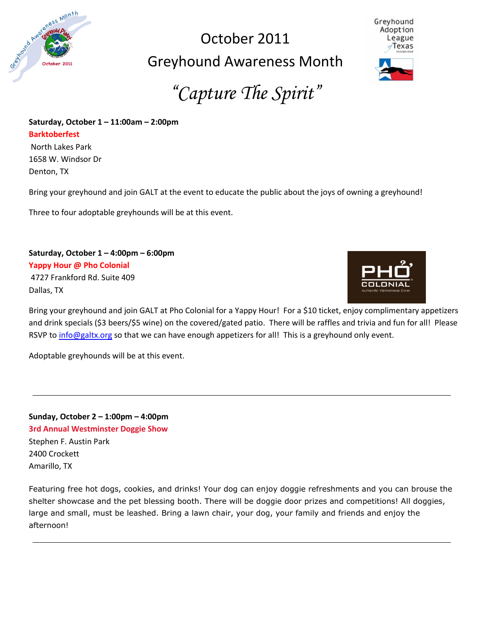

# October 2011 Greyhound Awareness Month



*"Capture The Spirit"*

# **Saturday, October 1 – 11:00am – 2:00pm**

**Barktoberfest**

North Lakes Park 1658 W. Windsor Dr Denton, TX

Bring your greyhound and join GALT at the event to educate the public about the joys of owning a greyhound!

Three to four adoptable greyhounds will be at this event.

**Saturday, October 1 – 4:00pm – 6:00pm Yappy Hour @ Pho Colonial** 4727 Frankford Rd. Suite 409

Dallas, TX



Bring your greyhound and join GALT at Pho Colonial for a Yappy Hour! For a \$10 ticket, enjoy complimentary appetizers and drink specials (\$3 beers/\$5 wine) on the covered/gated patio. There will be raffles and trivia and fun for all! Please RSVP to [info@galtx.org](mailto:info@galtx.org) so that we can have enough appetizers for all! This is a greyhound only event.

Adoptable greyhounds will be at this event.

**Sunday, October 2 – 1:00pm – 4:00pm 3rd Annual Westminster Doggie Show** Stephen F. Austin Park 2400 Crockett Amarillo, TX

Featuring free hot dogs, cookies, and drinks! Your dog can enjoy doggie refreshments and you can brouse the shelter showcase and the pet blessing booth. There will be doggie door prizes and competitions! All doggies, large and small, must be leashed. Bring a lawn chair, your dog, your family and friends and enjoy the afternoon!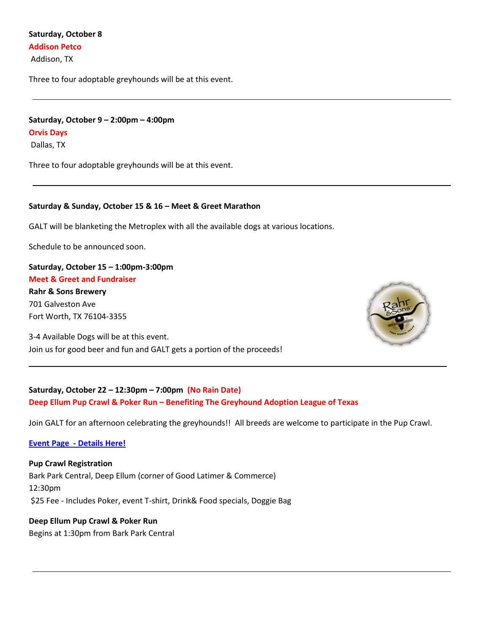### **Saturday, October 8 Addison Petco**

Addison, TX

Three to four adoptable greyhounds will be at this event.

# **Saturday, October 9 – 2:00pm – 4:00pm Orvis Days** Dallas, TX

Three to four adoptable greyhounds will be at this event.

#### **Saturday & Sunday, October 15 & 16 – Meet & Greet Marathon**

GALT will be blanketing the Metroplex with all the available dogs at various locations.

Schedule to be announced soon.

## **Saturday, October 15 – 1:00pm-3:00pm Meet & Greet and Fundraiser**

**Rahr & Sons Brewery** 701 Galveston Ave Fort Worth, TX 76104-3355

3-4 Available Dogs will be at this event. Join us for good beer and fun and GALT gets a portion of the proceeds!



## **Saturday, October 22 – 12:30pm – 7:00pm (No Rain Date) Deep Ellum Pup Crawl & Poker Run – Benefiting The Greyhound Adoption League of Texas**

Join GALT for an afternoon celebrating the greyhounds!! All breeds are welcome to participate in the Pup Crawl.

#### **Event Page - Details Here!**

**Pup Crawl Registration** Bark Park Central, Deep Ellum (corner of Good Latimer & Commerce) 12:30pm \$25 Fee - Includes Poker, event T-shirt, Drink& Food specials, Doggie Bag

# **Deep Ellum Pup Crawl & Poker Run**

Begins at 1:30pm from Bark Park Central